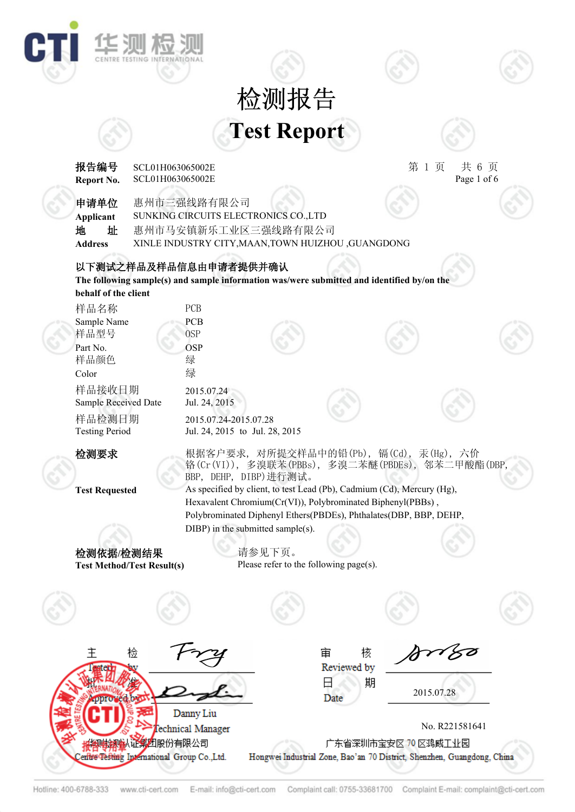## **Test Report** 检测报告

华测板

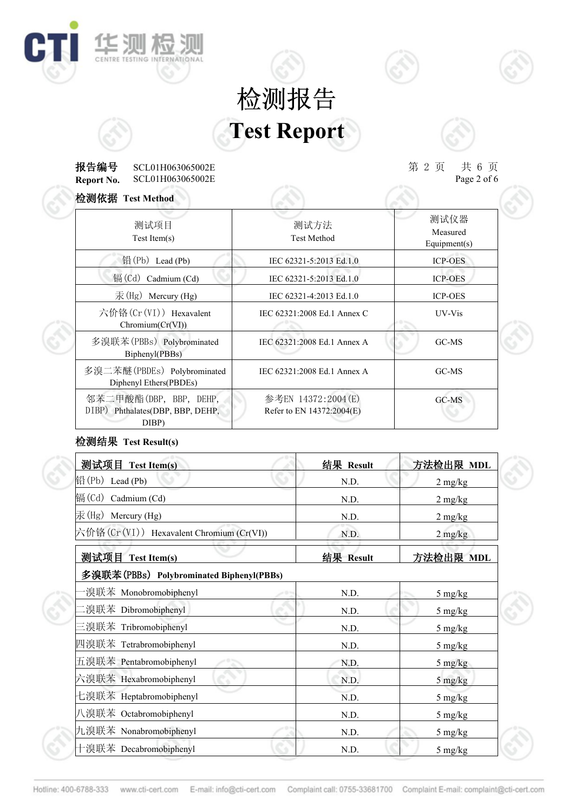## **Test Report** 检测报告

#### **Report No. 报告编号** SCL01H063065002E 第 2 页 共 6 页 SCL01H063065002E 检测依据 **Test Method**

**IE SUI AS SUI** 

C

 $\# 6 \overline{p}$ <br>Page 2 of 6

| 位测仫诺 Test Method                                                    |                                                 |                                  |
|---------------------------------------------------------------------|-------------------------------------------------|----------------------------------|
| 测试项目<br>Test Item(s)                                                | 测试方法<br><b>Test Method</b>                      | 测试仪器<br>Measured<br>Equipment(s) |
| 铅(Pb) Lead (Pb)                                                     | IEC 62321-5:2013 Ed.1.0                         | <b>ICP-OES</b>                   |
| 镉 $(Cd)$ Cadmium $(Cd)$                                             | IEC 62321-5:2013 Ed.1.0                         | <b>ICP-OES</b>                   |
| $\bar{\mathcal{F}}$ (Hg) Mercury (Hg)                               | IEC 62321-4:2013 Ed.1.0                         | <b>ICP-OES</b>                   |
| 六价铬(Cr(VI)) Hexavalent<br>Chromium(Cr(VI))                          | IEC 62321:2008 Ed.1 Annex C                     | UV-Vis                           |
| 多溴联苯(PBBs) Polybrominated<br>Biphenyl(PBBs)                         | IEC 62321:2008 Ed.1 Annex A                     | GC-MS                            |
| 多溴二苯醚(PBDEs) Polybrominated<br>Diphenyl Ethers(PBDEs)               | IEC 62321:2008 Ed.1 Annex A                     | GC-MS                            |
| 邻苯二甲酸酯(DBP, BBP, DEHP,<br>DIBP) Phthalates(DBP, BBP, DEHP,<br>DIBP) | 参考EN 14372:2004(E)<br>Refer to EN 14372:2004(E) | $GC-MS$                          |

### 检测结果 **Test Result(s)**

| 测试项目 Test Item(s)                        | 结果 Result | 方法检出限 MDL                       |  |
|------------------------------------------|-----------|---------------------------------|--|
| $\mathbb{H}(\mathrm{Pb})$ Lead (Pb)      | N.D.      | $2 \text{ mg/kg}$               |  |
| 镉(Cd) Cadmium (Cd)                       | N.D.      | $2 \text{ mg/kg}$               |  |
| 汞(Hg) Mercury (Hg)                       | N.D.      | $2 \text{ mg/kg}$               |  |
| 六价铬(Cr(VI)) Hexavalent Chromium (Cr(VI)) | N.D.      | $2 \frac{\text{mg}}{\text{kg}}$ |  |
| 测试项目 Test Item(s)                        | 结果 Result | 方法检出限 MDL                       |  |
| 多溴联苯(PBBs) Polybrominated Biphenyl(PBBs) |           |                                 |  |
| ·溴联苯 Monobromobiphenyl                   | N.D.      | 5 mg/kg                         |  |
| .溴联苯 Dibromobiphenyl                     | N.D.      | 5 mg/kg                         |  |
| 三溴联苯 Tribromobiphenyl                    | N.D.      | 5 mg/kg                         |  |
| 四溴联苯 Tetrabromobiphenyl                  | N.D.      | $5 \frac{\text{mg}}{\text{kg}}$ |  |
| 五溴联苯 Pentabromobiphenyl                  | N.D.      | $5 \frac{\text{mg}}{\text{kg}}$ |  |
| 六溴联苯 Hexabromobiphenyl                   | N.D.      | 5 mg/kg                         |  |
| 七溴联苯 Heptabromobiphenyl                  | N.D.      | 5 mg/kg                         |  |
| 八溴联苯 Octabromobiphenyl                   | N.D.      | 5 mg/kg                         |  |
| 九溴联苯 Nonabromobiphenyl                   | N.D.      | 5 mg/kg                         |  |
| 十溴联苯 Decabromobiphenyl                   | N.D.      | 5 mg/kg                         |  |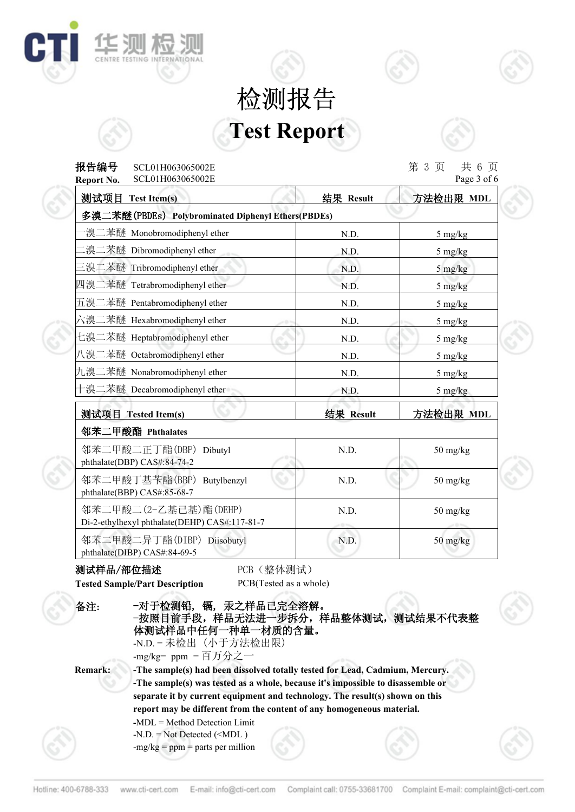# **Test Report** 检测报告

**报告编号** SCL01H063065002E 第 3 页 共 6 页



| SCL01H063065002E<br><b>Report No.</b>                                  | Page 3 of 6 |                |                                  |
|------------------------------------------------------------------------|-------------|----------------|----------------------------------|
| 测试项目 Test Item(s)                                                      |             | 结果 Result      | 方法检出限 MDL                        |
| 多溴二苯醚(PBDEs) Polybrominated Diphenyl Ethers(PBDEs)                     |             |                |                                  |
| 溴二苯醚 Monobromodiphenyl ether                                           |             | N.D.           | $5 \frac{\text{mg}}{\text{kg}}$  |
| .溴二苯醚 Dibromodiphenyl ether                                            |             | N.D.           | $5 \frac{\text{mg}}{\text{kg}}$  |
| 三溴二苯醚 Tribromodiphenyl ether                                           |             | N.D.           | $5 \frac{\text{mg}}{\text{kg}}$  |
| 四溴二苯醚 Tetrabromodiphenyl ether                                         |             | N.D.           | $5 \frac{\text{mg}}{\text{kg}}$  |
| 五溴二苯醚 Pentabromodiphenyl ether                                         |             | N.D.           | $5 \frac{\text{mg}}{\text{kg}}$  |
| 六溴二苯醚 Hexabromodiphenyl ether                                          | $\sim$ 0.1  | N.D.           | 5 mg/kg                          |
| 七溴二苯醚 Heptabromodiphenyl ether                                         |             | N.D.           | $5 \frac{\text{mg}}{\text{kg}}$  |
| 八溴二苯醚 Octabromodiphenyl ether                                          |             | N.D.           | $5 \frac{\text{mg}}{\text{kg}}$  |
| 九溴二苯醚 Nonabromodiphenyl ether                                          |             | N.D.           | $5 \frac{\text{mg}}{\text{kg}}$  |
| 十溴二苯醚 Decabromodiphenyl ether                                          |             | N.D.           | $5 \frac{\text{mg}}{\text{kg}}$  |
| 测试项目 Tested Item(s)                                                    |             | 结果 Result      | 方法检出限 MDL                        |
| 邻苯二甲酸酯 Phthalates                                                      |             |                |                                  |
| 邻苯二甲酸二正丁酯(DBP) Dibutyl<br>phthalate(DBP) CAS#:84-74-2                  |             | N.D.           | $50$ mg/kg                       |
| 邻苯二甲酸丁基苄酯(BBP) Butylbenzyl<br>phthalate(BBP) CAS#:85-68-7              |             | N.D.           | 50 mg/kg                         |
| 邻苯二甲酸二(2-乙基已基)酯(DEHP)<br>Di-2-ethylhexyl phthalate(DEHP) CAS#:117-81-7 |             | N.D.<br>$-0.5$ | 50 mg/kg                         |
| 邻苯二甲酸二异丁酯(DIBP) Diisobutyl<br>phthalate(DIBP) CAS#:84-69-5             |             | N.D.           | $50 \frac{\text{mg}}{\text{kg}}$ |

#### 测试样品/部位描述 PCB(整体测试)

华测

C

**Tested Sample/Part Description** PCB(Tested as a whole)

| 备注:            | -对于检测铅,镉,汞之样品已完全溶解。<br>-按照目前手段, 样品无法进一步拆分, 样品整体测试, 测试结果不代表整<br>体测试样品中任何一种单一材质的含量。<br>-N.D. = 未检出 (小于方法检出限)<br>-mg/kg= ppm = 百万分之一                                                                                                                                                                                        |  |
|----------------|--------------------------------------------------------------------------------------------------------------------------------------------------------------------------------------------------------------------------------------------------------------------------------------------------------------------------|--|
| <b>Remark:</b> | -The sample(s) had been dissolved totally tested for Lead, Cadmium, Mercury.<br>-The sample(s) was tested as a whole, because it's impossible to disassemble or<br>separate it by current equipment and technology. The result(s) shown on this<br>report may be different from the content of any homogeneous material. |  |
|                | -MDL = Method Detection Limit<br>$-N.D. = Not detected (-mg/kg = ppm = parts per million$                                                                                                                                                                                                                                |  |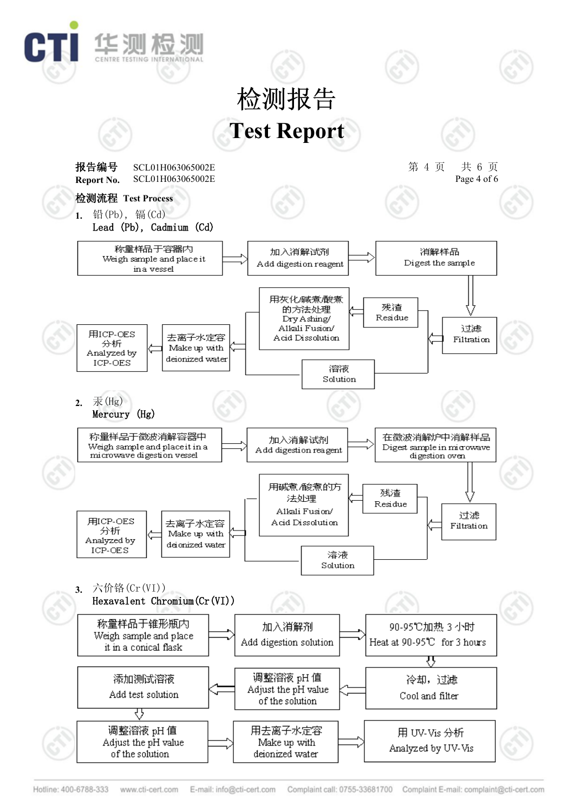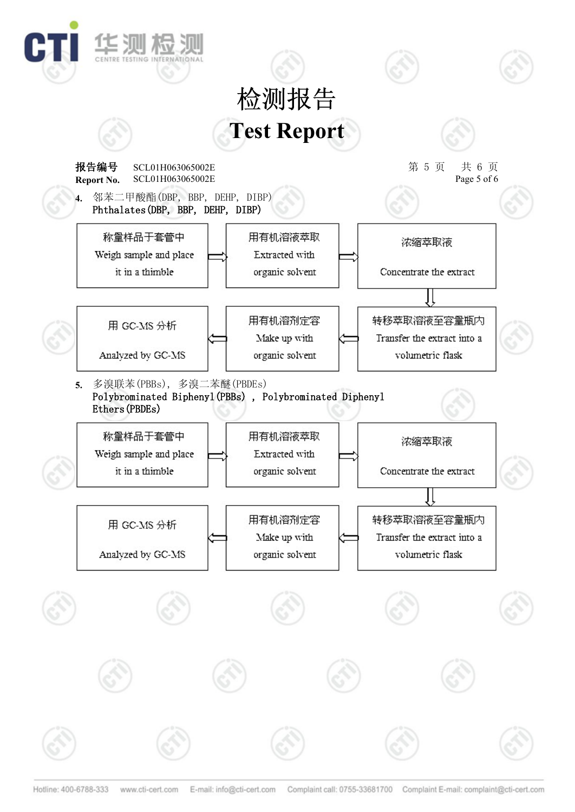